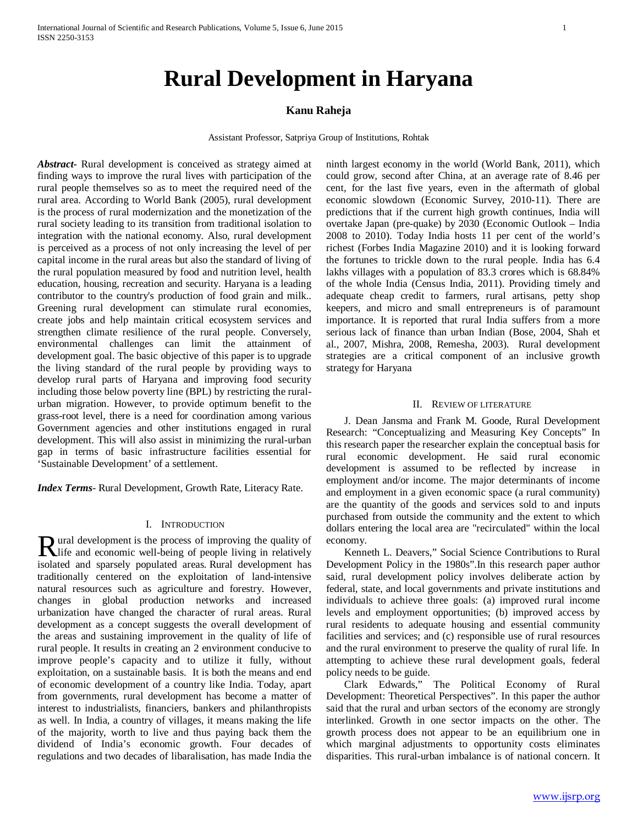# **Kanu Raheja**

Assistant Professor, Satpriya Group of Institutions, Rohtak

*Abstract***-** Rural development is conceived as strategy aimed at finding ways to improve the rural lives with participation of the rural people themselves so as to meet the required need of the rural area. According to World Bank (2005), rural development is the process of rural modernization and the monetization of the rural society leading to its transition from traditional isolation to integration with the national economy. Also, rural development is perceived as a process of not only increasing the level of per capital income in the rural areas but also the standard of living of the rural population measured by food and nutrition level, health education, housing, recreation and security. Haryana is a leading contributor to the country's production of food grain and milk.. Greening rural development can stimulate rural economies, create jobs and help maintain critical ecosystem services and strengthen climate resilience of the rural people. Conversely, environmental challenges can limit the attainment of development goal. The basic objective of this paper is to upgrade the living standard of the rural people by providing ways to develop rural parts of Haryana and improving food security including those below poverty line (BPL) by restricting the ruralurban migration. However, to provide optimum benefit to the grass-root level, there is a need for coordination among various Government agencies and other institutions engaged in rural development. This will also assist in minimizing the rural-urban gap in terms of basic infrastructure facilities essential for 'Sustainable Development' of a settlement.

*Index Terms*- Rural Development, Growth Rate, Literacy Rate.

#### I. INTRODUCTION

ural development is the process of improving the quality of **R** ural development is the process of improving the quality of life and economic well-being of people living in relatively isolated and sparsely populated areas. Rural development has traditionally centered on the exploitation of land-intensive natural resources such as agriculture and forestry. However, changes in global production networks and increased urbanization have changed the character of rural areas. Rural development as a concept suggests the overall development of the areas and sustaining improvement in the quality of life of rural people. It results in creating an 2 environment conducive to improve people's capacity and to utilize it fully, without exploitation, on a sustainable basis. It is both the means and end of economic development of a country like India. Today, apart from governments, rural development has become a matter of interest to industrialists, financiers, bankers and philanthropists as well. In India, a country of villages, it means making the life of the majority, worth to live and thus paying back them the dividend of India's economic growth. Four decades of regulations and two decades of libaralisation, has made India the

ninth largest economy in the world (World Bank, 2011), which could grow, second after China, at an average rate of 8.46 per cent, for the last five years, even in the aftermath of global economic slowdown (Economic Survey, 2010-11). There are predictions that if the current high growth continues, India will overtake Japan (pre-quake) by 2030 (Economic Outlook – India 2008 to 2010). Today India hosts 11 per cent of the world's richest (Forbes India Magazine 2010) and it is looking forward the fortunes to trickle down to the rural people. India has 6.4 lakhs villages with a population of 83.3 crores which is 68.84% of the whole India (Census India, 2011). Providing timely and adequate cheap credit to farmers, rural artisans, petty shop keepers, and micro and small entrepreneurs is of paramount importance. It is reported that rural India suffers from a more serious lack of finance than urban Indian (Bose, 2004, Shah et al., 2007, Mishra, 2008, Remesha, 2003). Rural development strategies are a critical component of an inclusive growth strategy for Haryana

#### II. REVIEW OF LITERATURE

 J. Dean Jansma and Frank M. Goode, Rural Development Research: "Conceptualizing and Measuring Key Concepts" In this research paper the researcher explain the conceptual basis for rural economic development. He said rural economic development is assumed to be reflected by increase in employment and/or income. The major determinants of income and employment in a given economic space (a rural community) are the quantity of the goods and services sold to and inputs purchased from outside the community and the extent to which dollars entering the local area are "recirculated" within the local economy.

 Kenneth L. Deavers," Social Science Contributions to Rural Development Policy in the 1980s".In this research paper author said, rural development policy involves deliberate action by federal, state, and local governments and private institutions and individuals to achieve three goals: (a) improved rural income levels and employment opportunities; (b) improved access by rural residents to adequate housing and essential community facilities and services; and (c) responsible use of rural resources and the rural environment to preserve the quality of rural life. In attempting to achieve these rural development goals, federal policy needs to be guide.

 Clark Edwards," The Political Economy of Rural Development: Theoretical Perspectives". In this paper the author said that the rural and urban sectors of the economy are strongly interlinked. Growth in one sector impacts on the other. The growth process does not appear to be an equilibrium one in which marginal adjustments to opportunity costs eliminates disparities. This rural-urban imbalance is of national concern. It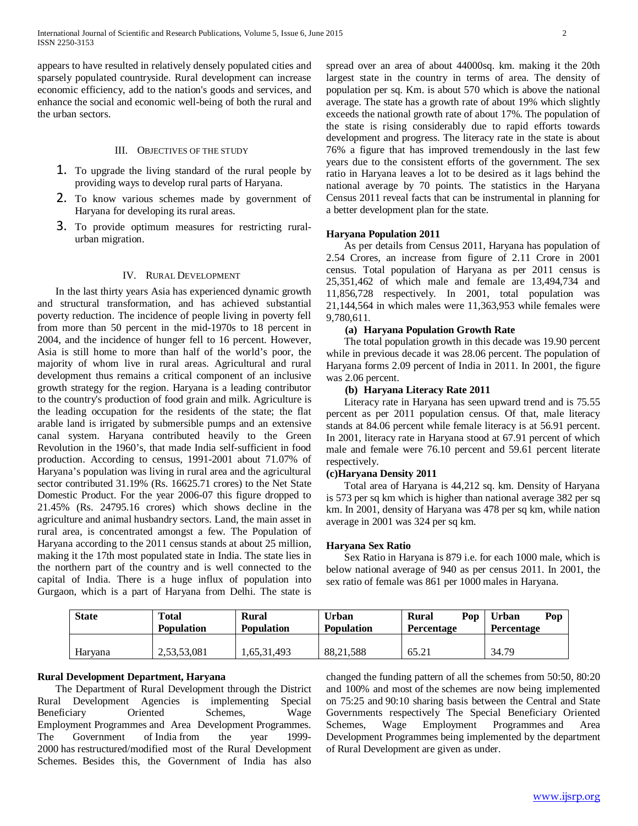appears to have resulted in relatively densely populated cities and sparsely populated countryside. Rural development can increase economic efficiency, add to the nation's goods and services, and enhance the social and economic well-being of both the rural and the urban sectors.

# III. OBJECTIVES OF THE STUDY

- 1. To upgrade the living standard of the rural people by providing ways to develop rural parts of Haryana.
- 2. To know various schemes made by government of Haryana for developing its rural areas.
- 3. To provide optimum measures for restricting ruralurban migration.

### IV. RURAL DEVELOPMENT

 In the last thirty years Asia has experienced dynamic growth and structural transformation, and has achieved substantial poverty reduction. The incidence of people living in poverty fell from more than 50 percent in the mid-1970s to 18 percent in 2004, and the incidence of hunger fell to 16 percent. However, Asia is still home to more than half of the world's poor, the majority of whom live in rural areas. Agricultural and rural development thus remains a critical component of an inclusive growth strategy for the region. Haryana is a leading contributor to the country's production of food grain and milk. Agriculture is the leading occupation for the residents of the state; the flat arable land is irrigated by submersible pumps and an extensive canal system. Haryana contributed heavily to the Green Revolution in the 1960's, that made India self-sufficient in food production. According to census, 1991-2001 about 71.07% of Haryana's population was living in rural area and the agricultural sector contributed 31.19% (Rs. 16625.71 crores) to the Net State Domestic Product. For the year 2006-07 this figure dropped to 21.45% (Rs. 24795.16 crores) which shows decline in the agriculture and animal husbandry sectors. Land, the main asset in rural area, is concentrated amongst a few. The Population of Haryana according to the 2011 census stands at about 25 million, making it the 17th most populated state in India. The state lies in the northern part of the country and is well connected to the capital of India. There is a huge influx of population into Gurgaon, which is a part of Haryana from Delhi. The state is

spread over an area of about 44000sq. km. making it the 20th largest state in the country in terms of area. The density of population per sq. Km. is about 570 which is above the national average. The state has a growth rate of about 19% which slightly exceeds the national growth rate of about 17%. The population of the state is rising considerably due to rapid efforts towards development and progress. The literacy rate in the state is about 76% a figure that has improved tremendously in the last few years due to the consistent efforts of the government. The sex ratio in Haryana leaves a lot to be desired as it lags behind the national average by 70 points. The statistics in the Haryana Census 2011 reveal facts that can be instrumental in planning for a better development plan for the state.

# **Haryana Population 2011**

 As per details from Census 2011, Haryana has population of 2.54 Crores, an increase from figure of 2.11 Crore in 2001 census. Total population of Haryana as per 2011 census is 25,351,462 of which male and female are 13,494,734 and 11,856,728 respectively. In 2001, total population was 21,144,564 in which males were 11,363,953 while females were 9,780,611.

# **(a) Haryana Population Growth Rate**

 The total population growth in this decade was 19.90 percent while in previous decade it was 28.06 percent. The population of Haryana forms 2.09 percent of India in 2011. In 2001, the figure was 2.06 percent.

## **(b) Haryana Literacy Rate 2011**

 Literacy rate in Haryana has seen upward trend and is 75.55 percent as per 2011 population census. Of that, male literacy stands at 84.06 percent while female literacy is at 56.91 percent. In 2001, literacy rate in Haryana stood at 67.91 percent of which male and female were 76.10 percent and 59.61 percent literate respectively.

#### **(c)Haryana Density 2011**

 Total area of Haryana is 44,212 sq. km. Density of Haryana is 573 per sq km which is higher than national average 382 per sq km. In 2001, density of Haryana was 478 per sq km, while nation average in 2001 was 324 per sq km.

#### **Haryana Sex Ratio**

 Sex Ratio in Haryana is 879 i.e. for each 1000 male, which is below national average of 940 as per census 2011. In 2001, the sex ratio of female was 861 per 1000 males in Haryana.

| <b>State</b> | <b>Total</b><br><b>Population</b> | <b>Rural</b><br><b>Population</b> | <b>Urban</b><br><b>Population</b> | Pop<br><b>Rural</b><br>Percentage | <b>Urban</b><br>Pop<br>Percentage |
|--------------|-----------------------------------|-----------------------------------|-----------------------------------|-----------------------------------|-----------------------------------|
| Harvana      | 2,53,53,081                       | .65,31,493                        | 88.21.588                         | 65.21                             | 34.79                             |

# **Rural Development Department, Haryana**

 The Department of Rural Development through the District Rural Development Agencies is implementing Special Beneficiary Oriented Schemes, Wage Employment Programmes and Area Development Programmes. The Government of India from the year 1999- 2000 has restructured/modified most of the Rural Development Schemes. Besides this, the Government of India has also

changed the funding pattern of all the schemes from 50:50, 80:20 and 100% and most of the schemes are now being implemented on 75:25 and 90:10 sharing basis between the Central and State Governments respectively The Special Beneficiary Oriented Schemes, Wage Employment Programmes and Area Development Programmes being implemented by the department of Rural Development are given as under.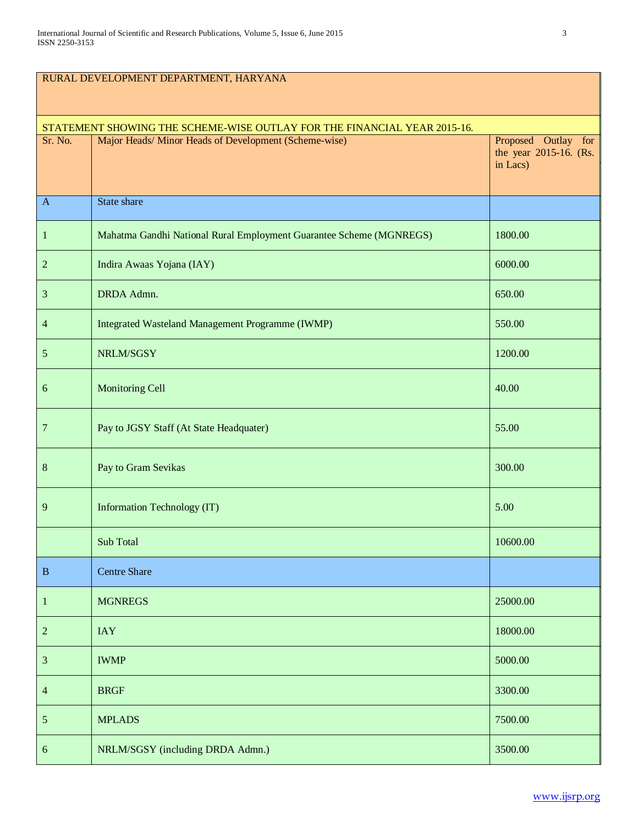| RURAL DEVELOPMENT DEPARTMENT, HARYANA                                    |                                                                     |                                                           |  |  |  |
|--------------------------------------------------------------------------|---------------------------------------------------------------------|-----------------------------------------------------------|--|--|--|
| STATEMENT SHOWING THE SCHEME-WISE OUTLAY FOR THE FINANCIAL YEAR 2015-16. |                                                                     |                                                           |  |  |  |
| Sr. No.                                                                  | Major Heads/ Minor Heads of Development (Scheme-wise)               | Proposed Outlay for<br>the year 2015-16. (Rs.<br>in Lacs) |  |  |  |
| $\mathbf{A}$                                                             | State share                                                         |                                                           |  |  |  |
| $\mathbf{1}$                                                             | Mahatma Gandhi National Rural Employment Guarantee Scheme (MGNREGS) | 1800.00                                                   |  |  |  |
| 2                                                                        | Indira Awaas Yojana (IAY)                                           | 6000.00                                                   |  |  |  |
| $\mathfrak{Z}$                                                           | DRDA Admn.                                                          | 650.00                                                    |  |  |  |
| 4                                                                        | Integrated Wasteland Management Programme (IWMP)                    | 550.00                                                    |  |  |  |
| 5                                                                        | NRLM/SGSY                                                           | 1200.00                                                   |  |  |  |
| 6                                                                        | <b>Monitoring Cell</b>                                              | 40.00                                                     |  |  |  |
| 7                                                                        | Pay to JGSY Staff (At State Headquater)                             | 55.00                                                     |  |  |  |
| $8\,$                                                                    | Pay to Gram Sevikas                                                 | 300.00                                                    |  |  |  |
| 9                                                                        | Information Technology (IT)                                         | 5.00                                                      |  |  |  |
|                                                                          | <b>Sub Total</b>                                                    | 10600.00                                                  |  |  |  |
| $\, {\bf B}$                                                             | <b>Centre Share</b>                                                 |                                                           |  |  |  |
| $\mathbf{1}$                                                             | <b>MGNREGS</b>                                                      | 25000.00                                                  |  |  |  |
| $\overline{c}$                                                           | <b>IAY</b>                                                          | 18000.00                                                  |  |  |  |
| $\mathfrak{Z}$                                                           | <b>IWMP</b>                                                         | 5000.00                                                   |  |  |  |
| $\overline{4}$                                                           | <b>BRGF</b>                                                         | 3300.00                                                   |  |  |  |
| $\sqrt{5}$                                                               | <b>MPLADS</b>                                                       | 7500.00                                                   |  |  |  |
| $\sqrt{6}$                                                               | NRLM/SGSY (including DRDA Admn.)                                    | 3500.00                                                   |  |  |  |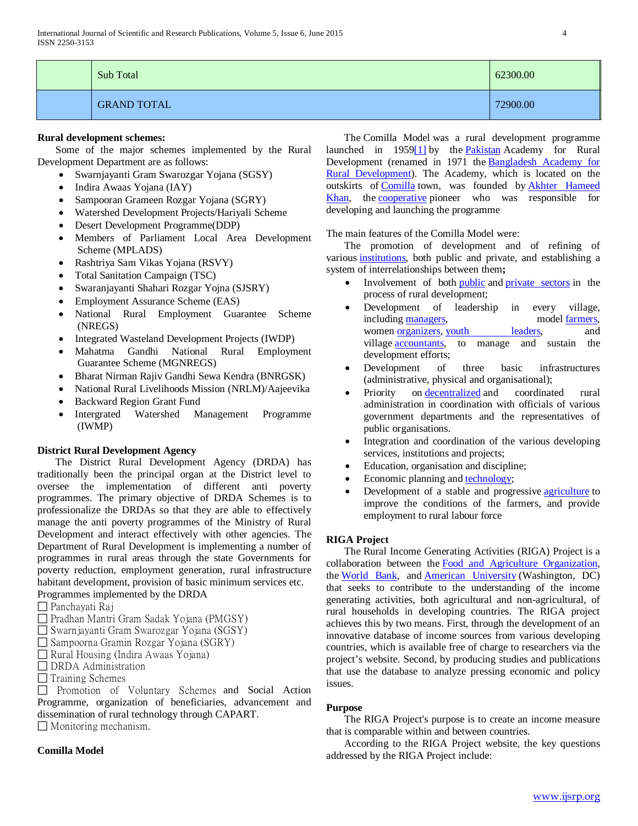| Sub Total          | 62300.00 |
|--------------------|----------|
| <b>GRAND TOTAL</b> | 72900.00 |

# **Rural development schemes:**

 Some of the major schemes implemented by the Rural Development Department are as follows:

- Swarnjayanti Gram Swarozgar Yojana (SGSY)
- Indira Awaas Yojana (IAY)
- Sampooran Grameen Rozgar Yojana (SGRY)
- Watershed Development Projects/Hariyali Scheme
- Desert Development Programme(DDP)
- Members of Parliament Local Area Development Scheme (MPLADS)
- Rashtriya Sam Vikas Yojana (RSVY)
- Total Sanitation Campaign (TSC)
- Swaranjayanti Shahari Rozgar Yojna (SJSRY)
- Employment Assurance Scheme (EAS)
- National Rural Employment Guarantee Scheme (NREGS)
- Integrated Wasteland Development Projects (IWDP)
- Mahatma Gandhi National Rural Employment Guarantee Scheme (MGNREGS)
- Bharat Nirman Rajiv Gandhi Sewa Kendra (BNRGSK)
- National Rural Livelihoods Mission (NRLM)/Aajeevika
- Backward Region Grant Fund
- Intergrated Watershed Management Programme (IWMP)

#### **District Rural Development Agency**

 The District Rural Development Agency (DRDA) has traditionally been the principal organ at the District level to oversee the implementation of different anti poverty programmes. The primary objective of DRDA Schemes is to professionalize the DRDAs so that they are able to effectively manage the anti poverty programmes of the Ministry of Rural Development and interact effectively with other agencies. The Department of Rural Development is implementing a number of programmes in rural areas through the state Governments for poverty reduction, employment generation, rural infrastructure habitant development, provision of basic minimum services etc. Programmes implemented by the DRDA

- Panchayati Raj
- □ Pradhan Mantri Gram Sadak Yojana (PMGSY)
- Swarnjayanti Gram Swarozgar Yojana (SGSY)
- Sampoorna Gramin Rozgar Yojana (SGRY)
- $\Box$  Rural Housing (Indira Awaas Yojana)
- **DRDA** Administration
- $\Box$  Training Schemes

 $\Box$  Promotion of Voluntary Schemes and Social Action Programme, organization of beneficiaries, advancement and dissemination of rural technology through CAPART.

 $\Box$  Monitoring mechanism.

# **Comilla Model**

 The Comilla Model was a rural development programme launched in 195[9\[1\]](http://en.wikipedia.org/wiki/Comilla_Model#cite_note-1) by the [Pakistan](http://en.wikipedia.org/wiki/Pakistan) Academy for Rural Development (renamed in 1971 the [Bangladesh Academy for](http://en.wikipedia.org/wiki/Bangladesh_Academy_for_Rural_Development)  [Rural Development\)](http://en.wikipedia.org/wiki/Bangladesh_Academy_for_Rural_Development). The Academy, which is located on the outskirts of [Comilla](http://en.wikipedia.org/wiki/Comilla_District) town, was founded by [Akhter Hameed](http://en.wikipedia.org/wiki/Akhter_Hameed_Khan)  [Khan,](http://en.wikipedia.org/wiki/Akhter_Hameed_Khan) the [cooperative](http://en.wikipedia.org/wiki/Cooperative) pioneer who was responsible for developing and launching the programme

The main features of the Comilla Model were:

 The promotion of development and of refining of various [institutions,](http://en.wikipedia.org/wiki/Institutions) both public and private, and establishing a system of interrelationships between them**;**

- Involvement of both [public](http://en.wikipedia.org/wiki/Public_sector) and [private sectors](http://en.wikipedia.org/wiki/Private_sector) in the process of rural development;
- Development of leadership in every village, including [managers,](http://en.wikipedia.org/wiki/Management) model [farmers,](http://en.wikipedia.org/wiki/Farmer) women <u>organizers</u>, [youth leaders,](http://en.wikipedia.org/wiki/Youth_work) and village [accountants,](http://en.wikipedia.org/wiki/Accountants) to manage and sustain the development efforts;
- Development of three basic infrastructures (administrative, physical and organisational);
- Priority on [decentralized](http://en.wikipedia.org/wiki/Decentralized) and coordinated rural administration in coordination with officials of various government departments and the representatives of public organisations.
- Integration and coordination of the various developing services, institutions and projects;
- Education, organisation and discipline;
- Economic planning and [technology;](http://en.wikipedia.org/wiki/Technology)
- Development of a stable and progressive **[agriculture](http://en.wikipedia.org/wiki/Agriculture)** to improve the conditions of the farmers, and provide employment to rural labour force

#### **RIGA Project**

 The Rural Income Generating Activities (RIGA) Project is a collaboration between the [Food and Agriculture Organization,](http://en.wikipedia.org/wiki/Food_and_Agriculture_Organization)  the [World Bank,](http://en.wikipedia.org/wiki/World_Bank) and [American University](http://en.wikipedia.org/wiki/American_University) (Washington, DC) that seeks to contribute to the understanding of the income generating activities, both agricultural and non-agricultural, of rural households in developing countries. The RIGA project achieves this by two means. First, through the development of an innovative database of income sources from various developing countries, which is available free of charge to researchers via the project's website. Second, by producing studies and publications that use the database to analyze pressing economic and policy issues.

#### **Purpose**

 The RIGA Project's purpose is to create an income measure that is comparable within and between countries.

 According to the RIGA Project website, the key questions addressed by the RIGA Project include: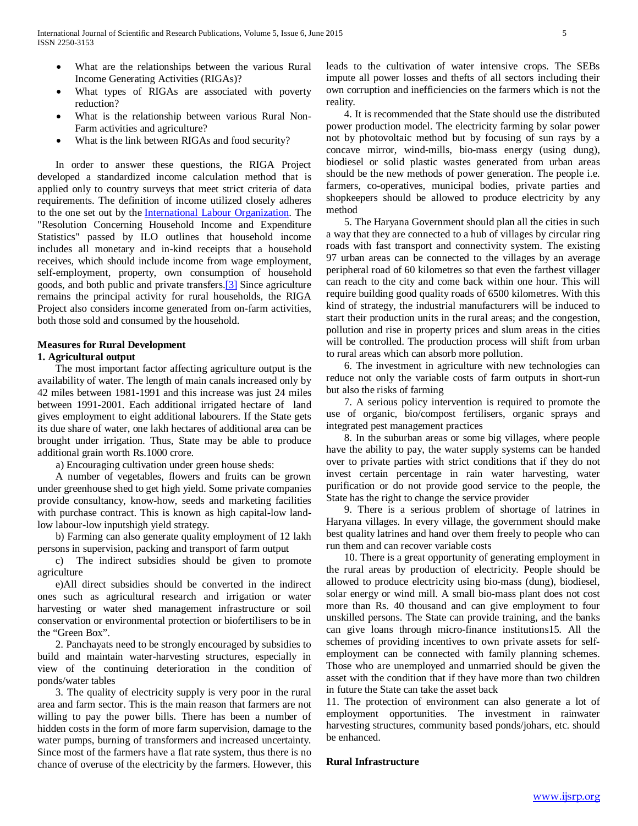- What are the relationships between the various Rural Income Generating Activities (RIGAs)?
- What types of RIGAs are associated with poverty reduction?
- What is the relationship between various Rural Non-Farm activities and agriculture?
- What is the link between RIGAs and food security?

 In order to answer these questions, the RIGA Project developed a standardized income calculation method that is applied only to country surveys that meet strict criteria of data requirements. The definition of income utilized closely adheres to the one set out by the [International Labour Organization.](http://en.wikipedia.org/wiki/International_Labour_Organization) The "Resolution Concerning Household Income and Expenditure Statistics" passed by ILO outlines that household income includes all monetary and in-kind receipts that a household receives, which should include income from wage employment, self-employment, property, own consumption of household goods, and both public and private transfers[.\[3\]](http://en.wikipedia.org/wiki/RIGA_Project#cite_note-3) Since agriculture remains the principal activity for rural households, the RIGA Project also considers income generated from on-farm activities, both those sold and consumed by the household.

#### **Measures for Rural Development**

### **1. Agricultural output**

 The most important factor affecting agriculture output is the availability of water. The length of main canals increased only by 42 miles between 1981-1991 and this increase was just 24 miles between 1991-2001. Each additional irrigated hectare of land gives employment to eight additional labourers. If the State gets its due share of water, one lakh hectares of additional area can be brought under irrigation. Thus, State may be able to produce additional grain worth Rs.1000 crore.

a) Encouraging cultivation under green house sheds:

 A number of vegetables, flowers and fruits can be grown under greenhouse shed to get high yield. Some private companies provide consultancy, know-how, seeds and marketing facilities with purchase contract. This is known as high capital-low landlow labour-low inputshigh yield strategy.

 b) Farming can also generate quality employment of 12 lakh persons in supervision, packing and transport of farm output

 c) The indirect subsidies should be given to promote agriculture

 e)All direct subsidies should be converted in the indirect ones such as agricultural research and irrigation or water harvesting or water shed management infrastructure or soil conservation or environmental protection or biofertilisers to be in the "Green Box".

 2. Panchayats need to be strongly encouraged by subsidies to build and maintain water-harvesting structures, especially in view of the continuing deterioration in the condition of ponds/water tables

 3. The quality of electricity supply is very poor in the rural area and farm sector. This is the main reason that farmers are not willing to pay the power bills. There has been a number of hidden costs in the form of more farm supervision, damage to the water pumps, burning of transformers and increased uncertainty. Since most of the farmers have a flat rate system, thus there is no chance of overuse of the electricity by the farmers. However, this leads to the cultivation of water intensive crops. The SEBs impute all power losses and thefts of all sectors including their own corruption and inefficiencies on the farmers which is not the reality.

 4. It is recommended that the State should use the distributed power production model. The electricity farming by solar power not by photovoltaic method but by focusing of sun rays by a concave mirror, wind-mills, bio-mass energy (using dung), biodiesel or solid plastic wastes generated from urban areas should be the new methods of power generation. The people i.e. farmers, co-operatives, municipal bodies, private parties and shopkeepers should be allowed to produce electricity by any method

 5. The Haryana Government should plan all the cities in such a way that they are connected to a hub of villages by circular ring roads with fast transport and connectivity system. The existing 97 urban areas can be connected to the villages by an average peripheral road of 60 kilometres so that even the farthest villager can reach to the city and come back within one hour. This will require building good quality roads of 6500 kilometres. With this kind of strategy, the industrial manufacturers will be induced to start their production units in the rural areas; and the congestion, pollution and rise in property prices and slum areas in the cities will be controlled. The production process will shift from urban to rural areas which can absorb more pollution.

 6. The investment in agriculture with new technologies can reduce not only the variable costs of farm outputs in short-run but also the risks of farming

 7. A serious policy intervention is required to promote the use of organic, bio/compost fertilisers, organic sprays and integrated pest management practices

 8. In the suburban areas or some big villages, where people have the ability to pay, the water supply systems can be handed over to private parties with strict conditions that if they do not invest certain percentage in rain water harvesting, water purification or do not provide good service to the people, the State has the right to change the service provider

 9. There is a serious problem of shortage of latrines in Haryana villages. In every village, the government should make best quality latrines and hand over them freely to people who can run them and can recover variable costs

 10. There is a great opportunity of generating employment in the rural areas by production of electricity. People should be allowed to produce electricity using bio-mass (dung), biodiesel, solar energy or wind mill. A small bio-mass plant does not cost more than Rs. 40 thousand and can give employment to four unskilled persons. The State can provide training, and the banks can give loans through micro-finance institutions15. All the schemes of providing incentives to own private assets for selfemployment can be connected with family planning schemes. Those who are unemployed and unmarried should be given the asset with the condition that if they have more than two children in future the State can take the asset back

11. The protection of environment can also generate a lot of employment opportunities. The investment in rainwater harvesting structures, community based ponds/johars, etc. should be enhanced.

#### **Rural Infrastructure**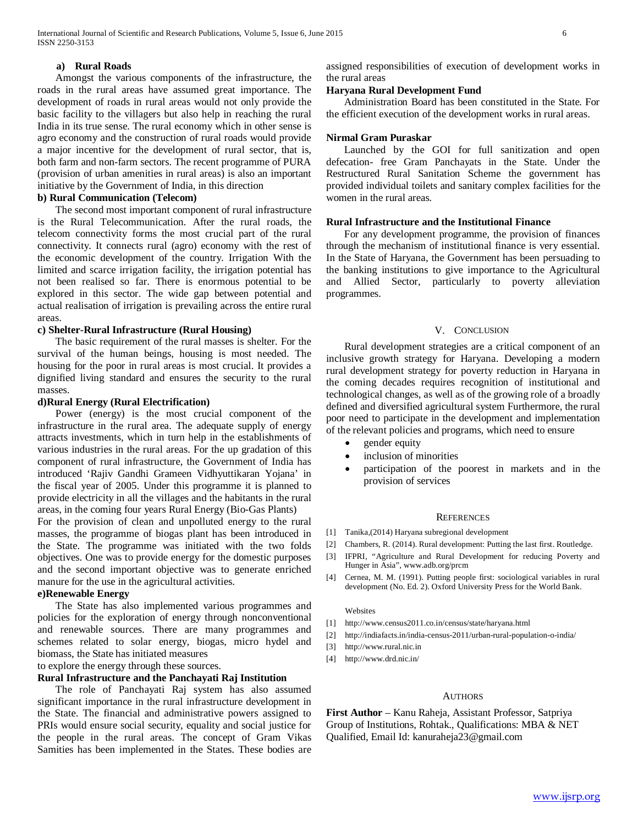#### **a) Rural Roads**

 Amongst the various components of the infrastructure, the roads in the rural areas have assumed great importance. The development of roads in rural areas would not only provide the basic facility to the villagers but also help in reaching the rural India in its true sense. The rural economy which in other sense is agro economy and the construction of rural roads would provide a major incentive for the development of rural sector, that is, both farm and non-farm sectors. The recent programme of PURA (provision of urban amenities in rural areas) is also an important initiative by the Government of India, in this direction

#### **b) Rural Communication (Telecom)**

 The second most important component of rural infrastructure is the Rural Telecommunication. After the rural roads, the telecom connectivity forms the most crucial part of the rural connectivity. It connects rural (agro) economy with the rest of the economic development of the country. Irrigation With the limited and scarce irrigation facility, the irrigation potential has not been realised so far. There is enormous potential to be explored in this sector. The wide gap between potential and actual realisation of irrigation is prevailing across the entire rural areas.

# **c) Shelter-Rural Infrastructure (Rural Housing)**

 The basic requirement of the rural masses is shelter. For the survival of the human beings, housing is most needed. The housing for the poor in rural areas is most crucial. It provides a dignified living standard and ensures the security to the rural masses.

### **d)Rural Energy (Rural Electrification)**

 Power (energy) is the most crucial component of the infrastructure in the rural area. The adequate supply of energy attracts investments, which in turn help in the establishments of various industries in the rural areas. For the up gradation of this component of rural infrastructure, the Government of India has introduced 'Rajiv Gandhi Grameen Vidhyuttikaran Yojana' in the fiscal year of 2005. Under this programme it is planned to provide electricity in all the villages and the habitants in the rural areas, in the coming four years Rural Energy (Bio-Gas Plants)

For the provision of clean and unpolluted energy to the rural masses, the programme of biogas plant has been introduced in the State. The programme was initiated with the two folds objectives. One was to provide energy for the domestic purposes and the second important objective was to generate enriched manure for the use in the agricultural activities.

### **e)Renewable Energy**

 The State has also implemented various programmes and policies for the exploration of energy through nonconventional and renewable sources. There are many programmes and schemes related to solar energy, biogas, micro hydel and biomass, the State has initiated measures

to explore the energy through these sources.

# **Rural Infrastructure and the Panchayati Raj Institution**

 The role of Panchayati Raj system has also assumed significant importance in the rural infrastructure development in the State. The financial and administrative powers assigned to PRIs would ensure social security, equality and social justice for the people in the rural areas. The concept of Gram Vikas Samities has been implemented in the States. These bodies are assigned responsibilities of execution of development works in the rural areas

### **Haryana Rural Development Fund**

 Administration Board has been constituted in the State. For the efficient execution of the development works in rural areas.

### **Nirmal Gram Puraskar**

 Launched by the GOI for full sanitization and open defecation- free Gram Panchayats in the State. Under the Restructured Rural Sanitation Scheme the government has provided individual toilets and sanitary complex facilities for the women in the rural areas.

## **Rural Infrastructure and the Institutional Finance**

 For any development programme, the provision of finances through the mechanism of institutional finance is very essential. In the State of Haryana, the Government has been persuading to the banking institutions to give importance to the Agricultural and Allied Sector, particularly to poverty alleviation programmes.

#### V. CONCLUSION

 Rural development strategies are a critical component of an inclusive growth strategy for Haryana. Developing a modern rural development strategy for poverty reduction in Haryana in the coming decades requires recognition of institutional and technological changes, as well as of the growing role of a broadly defined and diversified agricultural system Furthermore, the rural poor need to participate in the development and implementation of the relevant policies and programs, which need to ensure

- gender equity
- inclusion of minorities
- participation of the poorest in markets and in the provision of services

#### **REFERENCES**

- [1] Tanika,(2014) Haryana subregional development
- [2] Chambers, R. (2014). Rural development: Putting the last first. Routledge.
- [3] IFPRI, "Agriculture and Rural Development for reducing Poverty and Hunger in Asia", www.adb.org/prcm
- [4] Cernea, M. M. (1991). Putting people first: sociological variables in rural development (No. Ed. 2). Oxford University Press for the World Bank.

#### Websites

- [1] http://www.census2011.co.in/census/state/haryana.html
- [2] http://indiafacts.in/india-census-2011/urban-rural-population-o-india/
- [3] http://www.rural.nic.in
- [4] http://www.drd.nic.in/

#### AUTHORS

**First Author** – Kanu Raheja, Assistant Professor, Satpriya Group of Institutions, Rohtak., Qualifications: MBA & NET Qualified, Email Id: kanuraheja23@gmail.com